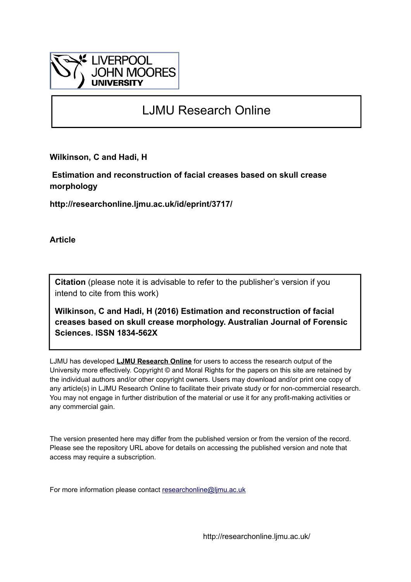

# LJMU Research Online

**Wilkinson, C and Hadi, H**

 **Estimation and reconstruction of facial creases based on skull crease morphology**

**http://researchonline.ljmu.ac.uk/id/eprint/3717/**

**Article**

**Citation** (please note it is advisable to refer to the publisher's version if you intend to cite from this work)

**Wilkinson, C and Hadi, H (2016) Estimation and reconstruction of facial creases based on skull crease morphology. Australian Journal of Forensic Sciences. ISSN 1834-562X** 

LJMU has developed **[LJMU Research Online](http://researchonline.ljmu.ac.uk/)** for users to access the research output of the University more effectively. Copyright © and Moral Rights for the papers on this site are retained by the individual authors and/or other copyright owners. Users may download and/or print one copy of any article(s) in LJMU Research Online to facilitate their private study or for non-commercial research. You may not engage in further distribution of the material or use it for any profit-making activities or any commercial gain.

The version presented here may differ from the published version or from the version of the record. Please see the repository URL above for details on accessing the published version and note that access may require a subscription.

For more information please contact [researchonline@ljmu.ac.uk](mailto:researchonline@ljmu.ac.uk)

http://researchonline.ljmu.ac.uk/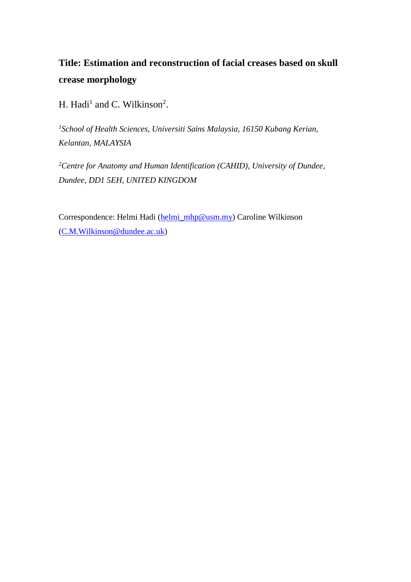## **Title: Estimation and reconstruction of facial creases based on skull crease morphology**

H. Hadi<sup>1</sup> and C. Wilkinson<sup>2</sup>.

*<sup>1</sup>School of Health Sciences, Universiti Sains Malaysia, 16150 Kubang Kerian, Kelantan, MALAYSIA*

*<sup>2</sup>Centre for Anatomy and Human Identification (CAHID), University of Dundee, Dundee, DD1 5EH, UNITED KINGDOM*

Correspondence: Helmi Hadi [\(helmi\\_mhp@usm.my\)](mailto:helmi_mhp@usm.my) Caroline Wilkinson [\(C.M.Wilkinson@dundee.ac.uk\)](mailto:C.M.Wilkinson@dundee.ac.uk)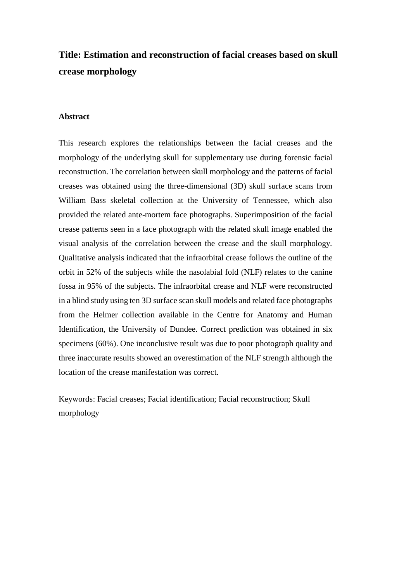## **Title: Estimation and reconstruction of facial creases based on skull crease morphology**

## **Abstract**

This research explores the relationships between the facial creases and the morphology of the underlying skull for supplementary use during forensic facial reconstruction. The correlation between skull morphology and the patterns of facial creases was obtained using the three-dimensional (3D) skull surface scans from William Bass skeletal collection at the University of Tennessee, which also provided the related ante-mortem face photographs. Superimposition of the facial crease patterns seen in a face photograph with the related skull image enabled the visual analysis of the correlation between the crease and the skull morphology. Qualitative analysis indicated that the infraorbital crease follows the outline of the orbit in 52% of the subjects while the nasolabial fold (NLF) relates to the canine fossa in 95% of the subjects. The infraorbital crease and NLF were reconstructed in a blind study using ten 3D surface scan skull models and related face photographs from the Helmer collection available in the Centre for Anatomy and Human Identification, the University of Dundee. Correct prediction was obtained in six specimens (60%). One inconclusive result was due to poor photograph quality and three inaccurate results showed an overestimation of the NLF strength although the location of the crease manifestation was correct.

Keywords: Facial creases; Facial identification; Facial reconstruction; Skull morphology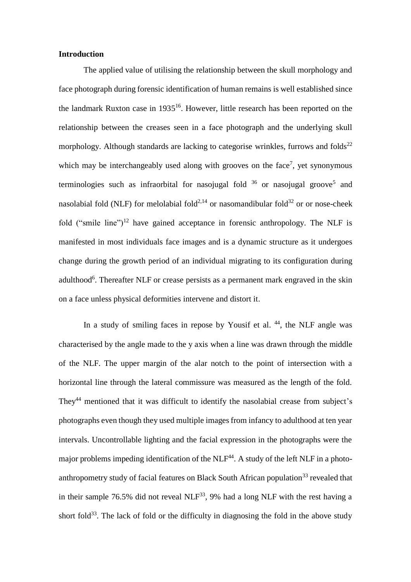## **Introduction**

The applied value of utilising the relationship between the skull morphology and face photograph during forensic identification of human remains is well established since the landmark Ruxton case in 1935 16 . However, little research has been reported on the relationship between the creases seen in a face photograph and the underlying skull morphology. Although standards are lacking to categorise wrinkles, furrows and folds $^{22}$ which may be interchangeably used along with grooves on the face<sup>7</sup>, yet synonymous terminologies such as infraorbital for nasojugal fold  $36$  or nasojugal groove<sup>5</sup> and nasolabial fold (NLF) for melolabial fold<sup>2,14</sup> or nasomandibular fold<sup>32</sup> or or nose-cheek fold ("smile line")<sup>12</sup> have gained acceptance in forensic anthropology. The NLF is manifested in most individuals face images and is a dynamic structure as it undergoes change during the growth period of an individual migrating to its configuration during adulthood<sup>6</sup>. Thereafter NLF or crease persists as a permanent mark engraved in the skin on a face unless physical deformities intervene and distort it.

In a study of smiling faces in repose by Yousif et al.  $44$ , the NLF angle was characterised by the angle made to the y axis when a line was drawn through the middle of the NLF. The upper margin of the alar notch to the point of intersection with a horizontal line through the lateral commissure was measured as the length of the fold. They<sup>44</sup> mentioned that it was difficult to identify the nasolabial crease from subject's photographs even though they used multiple images from infancy to adulthood at ten year intervals. Uncontrollable lighting and the facial expression in the photographs were the major problems impeding identification of the  $NLF<sup>44</sup>$ . A study of the left NLF in a photoanthropometry study of facial features on Black South African population<sup>33</sup> revealed that in their sample 76.5% did not reveal  $NLF^{33}$ , 9% had a long NLF with the rest having a short fold<sup>33</sup>. The lack of fold or the difficulty in diagnosing the fold in the above study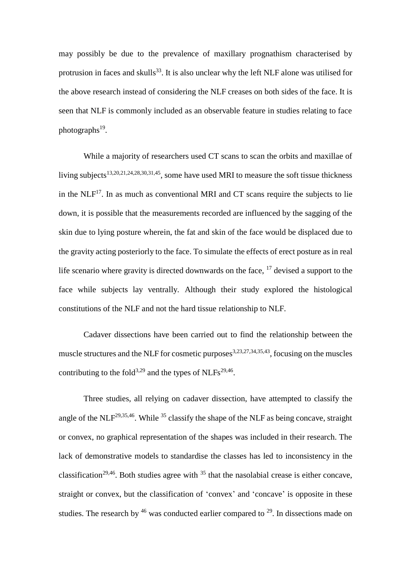may possibly be due to the prevalence of maxillary prognathism characterised by protrusion in faces and skulls<sup>33</sup>. It is also unclear why the left NLF alone was utilised for the above research instead of considering the NLF creases on both sides of the face. It is seen that NLF is commonly included as an observable feature in studies relating to face photographs<sup>19</sup>.

While a majority of researchers used CT scans to scan the orbits and maxillae of living subjects<sup>13,20,21,24,28,30,31,45</sup>, some have used MRI to measure the soft tissue thickness in the  $NLF^{17}$ . In as much as conventional MRI and CT scans require the subjects to lie down, it is possible that the measurements recorded are influenced by the sagging of the skin due to lying posture wherein, the fat and skin of the face would be displaced due to the gravity acting posteriorly to the face. To simulate the effects of erect posture as in real life scenario where gravity is directed downwards on the face,  $17$  devised a support to the face while subjects lay ventrally. Although their study explored the histological constitutions of the NLF and not the hard tissue relationship to NLF.

Cadaver dissections have been carried out to find the relationship between the muscle structures and the NLF for cosmetic purposes<sup>3,23,27,34,35,43</sup>, focusing on the muscles contributing to the fold<sup>3,29</sup> and the types of NLFs<sup>29,46</sup>.

Three studies, all relying on cadaver dissection, have attempted to classify the angle of the NLF<sup>29,35,46</sup>. While  $35$  classify the shape of the NLF as being concave, straight or convex, no graphical representation of the shapes was included in their research. The lack of demonstrative models to standardise the classes has led to inconsistency in the classification<sup>29,46</sup>. Both studies agree with  $35$  that the nasolabial crease is either concave, straight or convex, but the classification of 'convex' and 'concave' is opposite in these studies. The research by  $46$  was conducted earlier compared to  $29$ . In dissections made on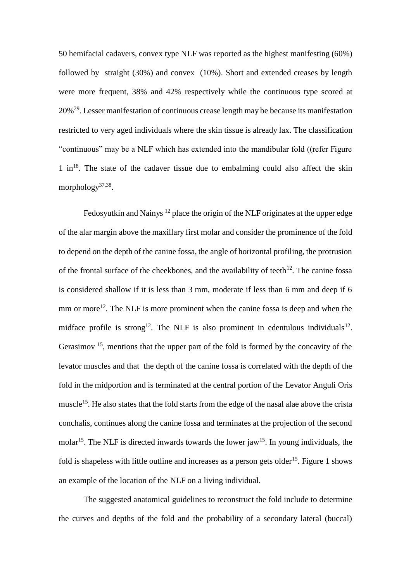50 hemifacial cadavers, convex type NLF was reported as the highest manifesting (60%) followed by straight (30%) and convex (10%). Short and extended creases by length were more frequent, 38% and 42% respectively while the continuous type scored at 20%<sup>29</sup>. Lesser manifestation of continuous crease length may be because its manifestation restricted to very aged individuals where the skin tissue is already lax. The classification "continuous" may be a NLF which has extended into the mandibular fold ((refer Figure  $1 \text{ in }^{18}$ . The state of the cadaver tissue due to embalming could also affect the skin morphology<sup>37,38</sup>.

Fedosyutkin and Nainys<sup>12</sup> place the origin of the NLF originates at the upper edge of the alar margin above the maxillary first molar and consider the prominence of the fold to depend on the depth of the canine fossa, the angle of horizontal profiling, the protrusion of the frontal surface of the cheekbones, and the availability of teeth<sup>12</sup>. The canine fossa is considered shallow if it is less than 3 mm, moderate if less than 6 mm and deep if 6 mm or more<sup>12</sup>. The NLF is more prominent when the canine fossa is deep and when the midface profile is strong<sup>12</sup>. The NLF is also prominent in edentulous individuals<sup>12</sup>. Gerasimov  $15$ , mentions that the upper part of the fold is formed by the concavity of the levator muscles and that the depth of the canine fossa is correlated with the depth of the fold in the midportion and is terminated at the central portion of the Levator Anguli Oris muscle<sup>15</sup>. He also states that the fold starts from the edge of the nasal alae above the crista conchalis, continues along the canine fossa and terminates at the projection of the second molar<sup>15</sup>. The NLF is directed inwards towards the lower jaw<sup>15</sup>. In young individuals, the fold is shapeless with little outline and increases as a person gets older<sup>15</sup>. Figure 1 shows an example of the location of the NLF on a living individual.

The suggested anatomical guidelines to reconstruct the fold include to determine the curves and depths of the fold and the probability of a secondary lateral (buccal)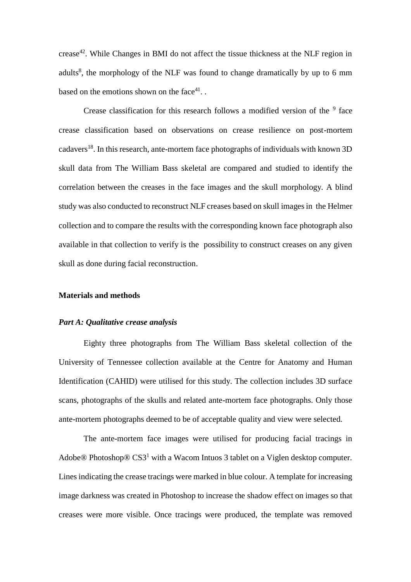crease<sup>42</sup>. While Changes in BMI do not affect the tissue thickness at the NLF region in adults<sup>8</sup>, the morphology of the NLF was found to change dramatically by up to 6 mm based on the emotions shown on the face $41$ .

Crease classification for this research follows a modified version of the  $9$  face crease classification based on observations on crease resilience on post-mortem cadavers<sup>18</sup>. In this research, ante-mortem face photographs of individuals with known 3D skull data from The William Bass skeletal are compared and studied to identify the correlation between the creases in the face images and the skull morphology. A blind study was also conducted to reconstruct NLF creases based on skull images in the Helmer collection and to compare the results with the corresponding known face photograph also available in that collection to verify is the possibility to construct creases on any given skull as done during facial reconstruction.

#### **Materials and methods**

## *Part A: Qualitative crease analysis*

Eighty three photographs from The William Bass skeletal collection of the University of Tennessee collection available at the Centre for Anatomy and Human Identification (CAHID) were utilised for this study. The collection includes 3D surface scans, photographs of the skulls and related ante-mortem face photographs. Only those ante-mortem photographs deemed to be of acceptable quality and view were selected.

The ante-mortem face images were utilised for producing facial tracings in Adobe® Photoshop®  $CS3<sup>1</sup>$  with a Wacom Intuos 3 tablet on a Viglen desktop computer. Lines indicating the crease tracings were marked in blue colour. A template for increasing image darkness was created in Photoshop to increase the shadow effect on images so that creases were more visible. Once tracings were produced, the template was removed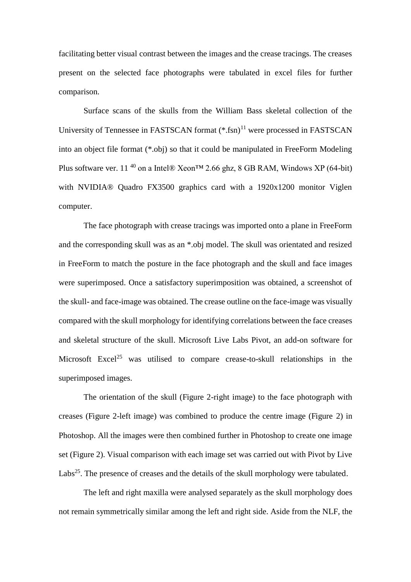facilitating better visual contrast between the images and the crease tracings. The creases present on the selected face photographs were tabulated in excel files for further comparison.

Surface scans of the skulls from the William Bass skeletal collection of the University of Tennessee in FASTSCAN format  $(*.fsn)^{11}$  were processed in FASTSCAN into an object file format (\*.obj) so that it could be manipulated in FreeForm Modeling Plus software ver. 11<sup>40</sup> on a Intel® Xeon<sup>TM</sup> 2.66 ghz, 8 GB RAM, Windows XP (64-bit) with NVIDIA® Quadro FX3500 graphics card with a 1920x1200 monitor Viglen computer.

The face photograph with crease tracings was imported onto a plane in FreeForm and the corresponding skull was as an \*.obj model. The skull was orientated and resized in FreeForm to match the posture in the face photograph and the skull and face images were superimposed. Once a satisfactory superimposition was obtained, a screenshot of the skull- and face-image was obtained. The crease outline on the face-image was visually compared with the skull morphology for identifying correlations between the face creases and skeletal structure of the skull. Microsoft Live Labs Pivot, an add-on software for Microsoft Excel<sup>25</sup> was utilised to compare crease-to-skull relationships in the superimposed images.

The orientation of the skull (Figure 2-right image) to the face photograph with creases (Figure 2-left image) was combined to produce the centre image (Figure 2) in Photoshop. All the images were then combined further in Photoshop to create one image set (Figure 2). Visual comparison with each image set was carried out with Pivot by Live Labs<sup>25</sup>. The presence of creases and the details of the skull morphology were tabulated.

The left and right maxilla were analysed separately as the skull morphology does not remain symmetrically similar among the left and right side. Aside from the NLF, the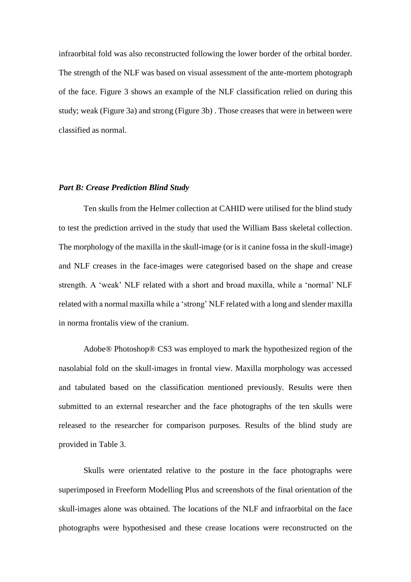infraorbital fold was also reconstructed following the lower border of the orbital border. The strength of the NLF was based on visual assessment of the ante-mortem photograph of the face. Figure 3 shows an example of the NLF classification relied on during this study; weak (Figure 3a) and strong (Figure 3b) . Those creases that were in between were classified as normal.

#### *Part B: Crease Prediction Blind Study*

Ten skulls from the Helmer collection at CAHID were utilised for the blind study to test the prediction arrived in the study that used the William Bass skeletal collection. The morphology of the maxilla in the skull-image (or is it canine fossa in the skull-image) and NLF creases in the face-images were categorised based on the shape and crease strength. A 'weak' NLF related with a short and broad maxilla, while a 'normal' NLF related with a normal maxilla while a 'strong' NLF related with a long and slender maxilla in norma frontalis view of the cranium.

Adobe® Photoshop® CS3 was employed to mark the hypothesized region of the nasolabial fold on the skull-images in frontal view. Maxilla morphology was accessed and tabulated based on the classification mentioned previously. Results were then submitted to an external researcher and the face photographs of the ten skulls were released to the researcher for comparison purposes. Results of the blind study are provided in Table 3.

Skulls were orientated relative to the posture in the face photographs were superimposed in Freeform Modelling Plus and screenshots of the final orientation of the skull-images alone was obtained. The locations of the NLF and infraorbital on the face photographs were hypothesised and these crease locations were reconstructed on the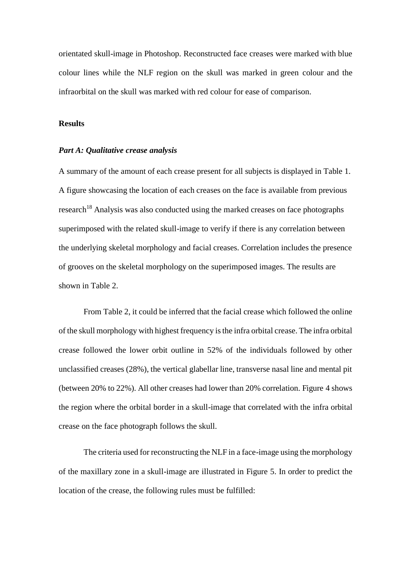orientated skull-image in Photoshop. Reconstructed face creases were marked with blue colour lines while the NLF region on the skull was marked in green colour and the infraorbital on the skull was marked with red colour for ease of comparison.

## **Results**

## *Part A: Qualitative crease analysis*

A summary of the amount of each crease present for all subjects is displayed in Table 1. A figure showcasing the location of each creases on the face is available from previous  $r$ esearch<sup>18</sup> Analysis was also conducted using the marked creases on face photographs superimposed with the related skull-image to verify if there is any correlation between the underlying skeletal morphology and facial creases. Correlation includes the presence of grooves on the skeletal morphology on the superimposed images. The results are shown in Table 2.

From Table 2, it could be inferred that the facial crease which followed the online of the skull morphology with highest frequency is the infra orbital crease. The infra orbital crease followed the lower orbit outline in 52% of the individuals followed by other unclassified creases (28%), the vertical glabellar line, transverse nasal line and mental pit (between 20% to 22%). All other creases had lower than 20% correlation. Figure 4 shows the region where the orbital border in a skull-image that correlated with the infra orbital crease on the face photograph follows the skull.

The criteria used for reconstructing the NLF in a face-image using the morphology of the maxillary zone in a skull-image are illustrated in Figure 5. In order to predict the location of the crease, the following rules must be fulfilled: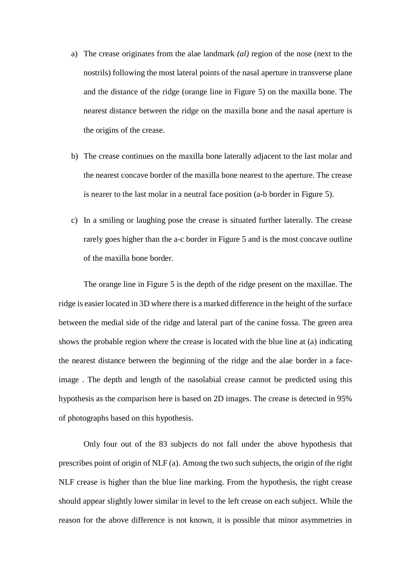- a) The crease originates from the alae landmark *(al)* region of the nose (next to the nostrils) following the most lateral points of the nasal aperture in transverse plane and the distance of the ridge (orange line in Figure 5) on the maxilla bone. The nearest distance between the ridge on the maxilla bone and the nasal aperture is the origins of the crease.
- b) The crease continues on the maxilla bone laterally adjacent to the last molar and the nearest concave border of the maxilla bone nearest to the aperture. The crease is nearer to the last molar in a neutral face position (a-b border in Figure 5).
- c) In a smiling or laughing pose the crease is situated further laterally. The crease rarely goes higher than the a-c border in Figure 5 and is the most concave outline of the maxilla bone border.

The orange line in Figure 5 is the depth of the ridge present on the maxillae. The ridge is easier located in 3D where there is a marked difference in the height of the surface between the medial side of the ridge and lateral part of the canine fossa. The green area shows the probable region where the crease is located with the blue line at (a) indicating the nearest distance between the beginning of the ridge and the alae border in a faceimage . The depth and length of the nasolabial crease cannot be predicted using this hypothesis as the comparison here is based on 2D images. The crease is detected in 95% of photographs based on this hypothesis.

Only four out of the 83 subjects do not fall under the above hypothesis that prescribes point of origin of NLF (a). Among the two such subjects, the origin of the right NLF crease is higher than the blue line marking. From the hypothesis, the right crease should appear slightly lower similar in level to the left crease on each subject. While the reason for the above difference is not known, it is possible that minor asymmetries in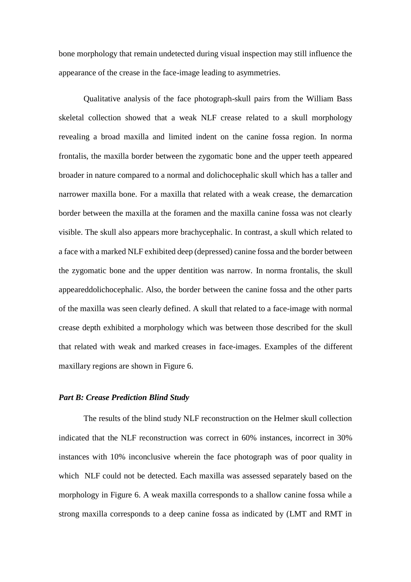bone morphology that remain undetected during visual inspection may still influence the appearance of the crease in the face-image leading to asymmetries.

Qualitative analysis of the face photograph-skull pairs from the William Bass skeletal collection showed that a weak NLF crease related to a skull morphology revealing a broad maxilla and limited indent on the canine fossa region. In norma frontalis, the maxilla border between the zygomatic bone and the upper teeth appeared broader in nature compared to a normal and dolichocephalic skull which has a taller and narrower maxilla bone. For a maxilla that related with a weak crease, the demarcation border between the maxilla at the foramen and the maxilla canine fossa was not clearly visible. The skull also appears more brachycephalic. In contrast, a skull which related to a face with a marked NLF exhibited deep (depressed) canine fossa and the border between the zygomatic bone and the upper dentition was narrow. In norma frontalis, the skull appeareddolichocephalic. Also, the border between the canine fossa and the other parts of the maxilla was seen clearly defined. A skull that related to a face-image with normal crease depth exhibited a morphology which was between those described for the skull that related with weak and marked creases in face-images. Examples of the different maxillary regions are shown in Figure 6.

### *Part B: Crease Prediction Blind Study*

The results of the blind study NLF reconstruction on the Helmer skull collection indicated that the NLF reconstruction was correct in 60% instances, incorrect in 30% instances with 10% inconclusive wherein the face photograph was of poor quality in which NLF could not be detected. Each maxilla was assessed separately based on the morphology in Figure 6. A weak maxilla corresponds to a shallow canine fossa while a strong maxilla corresponds to a deep canine fossa as indicated by (LMT and RMT in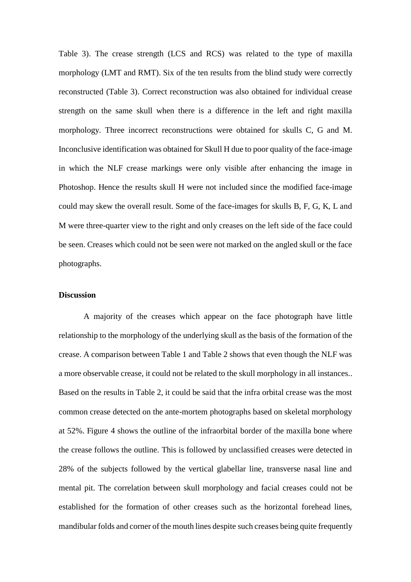Table 3). The crease strength (LCS and RCS) was related to the type of maxilla morphology (LMT and RMT). Six of the ten results from the blind study were correctly reconstructed (Table 3). Correct reconstruction was also obtained for individual crease strength on the same skull when there is a difference in the left and right maxilla morphology. Three incorrect reconstructions were obtained for skulls C, G and M. Inconclusive identification was obtained for Skull H due to poor quality of the face-image in which the NLF crease markings were only visible after enhancing the image in Photoshop. Hence the results skull H were not included since the modified face-image could may skew the overall result. Some of the face-images for skulls B, F, G, K, L and M were three-quarter view to the right and only creases on the left side of the face could be seen. Creases which could not be seen were not marked on the angled skull or the face photographs.

## **Discussion**

A majority of the creases which appear on the face photograph have little relationship to the morphology of the underlying skull as the basis of the formation of the crease. A comparison between Table 1 and Table 2 shows that even though the NLF was a more observable crease, it could not be related to the skull morphology in all instances.. Based on the results in Table 2, it could be said that the infra orbital crease was the most common crease detected on the ante-mortem photographs based on skeletal morphology at 52%. Figure 4 shows the outline of the infraorbital border of the maxilla bone where the crease follows the outline. This is followed by unclassified creases were detected in 28% of the subjects followed by the vertical glabellar line, transverse nasal line and mental pit. The correlation between skull morphology and facial creases could not be established for the formation of other creases such as the horizontal forehead lines, mandibular folds and corner of the mouth lines despite such creases being quite frequently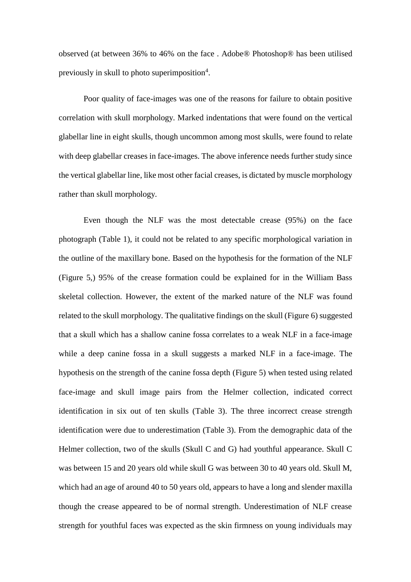observed (at between 36% to 46% on the face . Adobe® Photoshop® has been utilised previously in skull to photo superimposition<sup>4</sup>.

Poor quality of face-images was one of the reasons for failure to obtain positive correlation with skull morphology. Marked indentations that were found on the vertical glabellar line in eight skulls, though uncommon among most skulls, were found to relate with deep glabellar creases in face-images. The above inference needs further study since the vertical glabellar line, like most other facial creases, is dictated by muscle morphology rather than skull morphology.

Even though the NLF was the most detectable crease (95%) on the face photograph (Table 1), it could not be related to any specific morphological variation in the outline of the maxillary bone. Based on the hypothesis for the formation of the NLF (Figure 5,) 95% of the crease formation could be explained for in the William Bass skeletal collection. However, the extent of the marked nature of the NLF was found related to the skull morphology. The qualitative findings on the skull (Figure 6) suggested that a skull which has a shallow canine fossa correlates to a weak NLF in a face-image while a deep canine fossa in a skull suggests a marked NLF in a face-image. The hypothesis on the strength of the canine fossa depth (Figure 5) when tested using related face-image and skull image pairs from the Helmer collection, indicated correct identification in six out of ten skulls (Table 3). The three incorrect crease strength identification were due to underestimation (Table 3). From the demographic data of the Helmer collection, two of the skulls (Skull C and G) had youthful appearance. Skull C was between 15 and 20 years old while skull G was between 30 to 40 years old. Skull M, which had an age of around 40 to 50 years old, appears to have a long and slender maxilla though the crease appeared to be of normal strength. Underestimation of NLF crease strength for youthful faces was expected as the skin firmness on young individuals may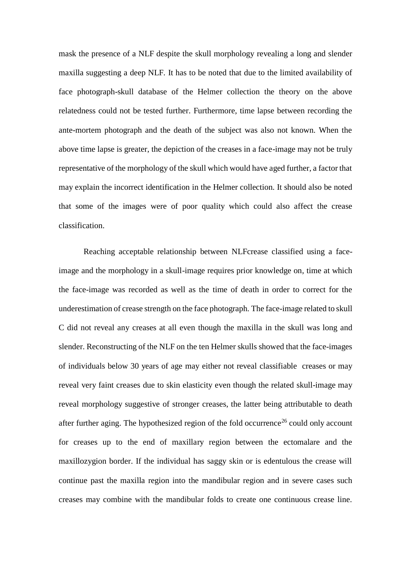mask the presence of a NLF despite the skull morphology revealing a long and slender maxilla suggesting a deep NLF. It has to be noted that due to the limited availability of face photograph-skull database of the Helmer collection the theory on the above relatedness could not be tested further. Furthermore, time lapse between recording the ante-mortem photograph and the death of the subject was also not known. When the above time lapse is greater, the depiction of the creases in a face-image may not be truly representative of the morphology of the skull which would have aged further, a factor that may explain the incorrect identification in the Helmer collection. It should also be noted that some of the images were of poor quality which could also affect the crease classification.

Reaching acceptable relationship between NLFcrease classified using a faceimage and the morphology in a skull-image requires prior knowledge on, time at which the face-image was recorded as well as the time of death in order to correct for the underestimation of crease strength on the face photograph. The face-image related to skull C did not reveal any creases at all even though the maxilla in the skull was long and slender. Reconstructing of the NLF on the ten Helmer skulls showed that the face-images of individuals below 30 years of age may either not reveal classifiable creases or may reveal very faint creases due to skin elasticity even though the related skull-image may reveal morphology suggestive of stronger creases, the latter being attributable to death after further aging. The hypothesized region of the fold occurrence<sup>26</sup> could only account for creases up to the end of maxillary region between the ectomalare and the maxillozygion border. If the individual has saggy skin or is edentulous the crease will continue past the maxilla region into the mandibular region and in severe cases such creases may combine with the mandibular folds to create one continuous crease line.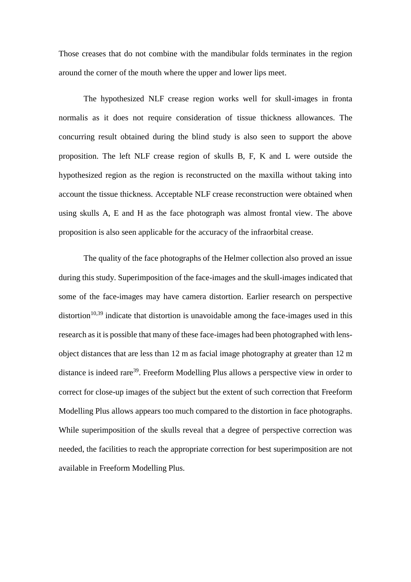Those creases that do not combine with the mandibular folds terminates in the region around the corner of the mouth where the upper and lower lips meet.

The hypothesized NLF crease region works well for skull-images in fronta normalis as it does not require consideration of tissue thickness allowances. The concurring result obtained during the blind study is also seen to support the above proposition. The left NLF crease region of skulls B, F, K and L were outside the hypothesized region as the region is reconstructed on the maxilla without taking into account the tissue thickness. Acceptable NLF crease reconstruction were obtained when using skulls A, E and H as the face photograph was almost frontal view. The above proposition is also seen applicable for the accuracy of the infraorbital crease.

The quality of the face photographs of the Helmer collection also proved an issue during this study. Superimposition of the face-images and the skull-images indicated that some of the face-images may have camera distortion. Earlier research on perspective distortion<sup>10,39</sup> indicate that distortion is unavoidable among the face-images used in this research as it is possible that many of these face-images had been photographed with lensobject distances that are less than 12 m as facial image photography at greater than 12 m distance is indeed rare<sup>39</sup>. Freeform Modelling Plus allows a perspective view in order to correct for close-up images of the subject but the extent of such correction that Freeform Modelling Plus allows appears too much compared to the distortion in face photographs. While superimposition of the skulls reveal that a degree of perspective correction was needed, the facilities to reach the appropriate correction for best superimposition are not available in Freeform Modelling Plus.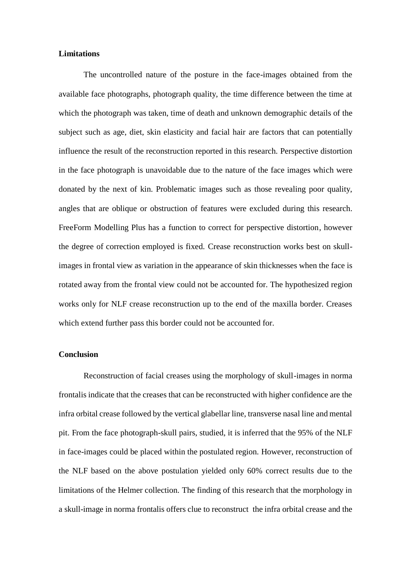## **Limitations**

The uncontrolled nature of the posture in the face-images obtained from the available face photographs, photograph quality, the time difference between the time at which the photograph was taken, time of death and unknown demographic details of the subject such as age, diet, skin elasticity and facial hair are factors that can potentially influence the result of the reconstruction reported in this research. Perspective distortion in the face photograph is unavoidable due to the nature of the face images which were donated by the next of kin. Problematic images such as those revealing poor quality, angles that are oblique or obstruction of features were excluded during this research. FreeForm Modelling Plus has a function to correct for perspective distortion, however the degree of correction employed is fixed. Crease reconstruction works best on skullimages in frontal view as variation in the appearance of skin thicknesses when the face is rotated away from the frontal view could not be accounted for. The hypothesized region works only for NLF crease reconstruction up to the end of the maxilla border. Creases which extend further pass this border could not be accounted for.

## **Conclusion**

Reconstruction of facial creases using the morphology of skull-images in norma frontalis indicate that the creases that can be reconstructed with higher confidence are the infra orbital crease followed by the vertical glabellar line, transverse nasal line and mental pit. From the face photograph-skull pairs, studied, it is inferred that the 95% of the NLF in face-images could be placed within the postulated region. However, reconstruction of the NLF based on the above postulation yielded only 60% correct results due to the limitations of the Helmer collection. The finding of this research that the morphology in a skull-image in norma frontalis offers clue to reconstruct the infra orbital crease and the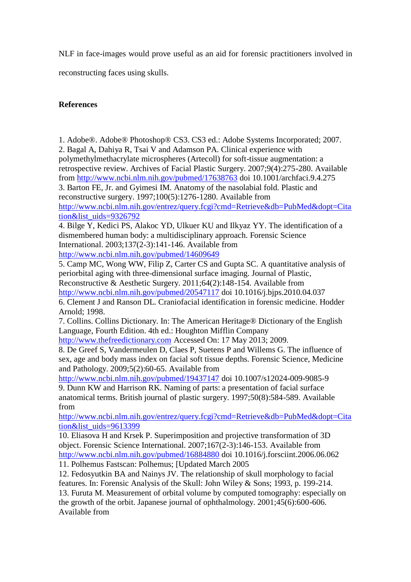NLF in face-images would prove useful as an aid for forensic practitioners involved in

reconstructing faces using skulls.

## **References**

1. Adobe®. Adobe® Photoshop® CS3. CS3 ed.: Adobe Systems Incorporated; 2007. 2. Bagal A, Dahiya R, Tsai V and Adamson PA. Clinical experience with polymethylmethacrylate microspheres (Artecoll) for soft-tissue augmentation: a retrospective review. Archives of Facial Plastic Surgery. 2007;9(4):275-280. Available from<http://www.ncbi.nlm.nih.gov/pubmed/17638763> doi 10.1001/archfaci.9.4.275 3. Barton FE, Jr. and Gyimesi IM. Anatomy of the nasolabial fold. Plastic and reconstructive surgery. 1997;100(5):1276-1280. Available from [http://www.ncbi.nlm.nih.gov/entrez/query.fcgi?cmd=Retrieve&db=PubMed&dopt=Cita](http://www.ncbi.nlm.nih.gov/entrez/query.fcgi?cmd=Retrieve&db=PubMed&dopt=Citation&list_uids=9326792) [tion&list\\_uids=9326792](http://www.ncbi.nlm.nih.gov/entrez/query.fcgi?cmd=Retrieve&db=PubMed&dopt=Citation&list_uids=9326792) 4. Bilge Y, Kedici PS, Alakoc YD, Ulkuer KU and Ilkyaz YY. The identification of a dismembered human body: a multidisciplinary approach. Forensic Science International. 2003;137(2-3):141-146. Available from

<http://www.ncbi.nlm.nih.gov/pubmed/14609649>

5. Camp MC, Wong WW, Filip Z, Carter CS and Gupta SC. A quantitative analysis of periorbital aging with three-dimensional surface imaging. Journal of Plastic, Reconstructive & Aesthetic Surgery. 2011;64(2):148-154. Available from <http://www.ncbi.nlm.nih.gov/pubmed/20547117> doi 10.1016/j.bjps.2010.04.037 6. Clement J and Ranson DL. Craniofacial identification in forensic medicine. Hodder Arnold; 1998.

7. Collins. Collins Dictionary. In: The American Heritage® Dictionary of the English Language, Fourth Edition. 4th ed.: Houghton Mifflin Company

[http://www.thefreedictionary.com](http://www.thefreedictionary.com/) Accessed On: 17 May 2013; 2009.

8. De Greef S, Vandermeulen D, Claes P, Suetens P and Willems G. The influence of sex, age and body mass index on facial soft tissue depths. Forensic Science, Medicine and Pathology. 2009;5(2):60-65. Available from

<http://www.ncbi.nlm.nih.gov/pubmed/19437147> doi 10.1007/s12024-009-9085-9 9. Dunn KW and Harrison RK. Naming of parts: a presentation of facial surface anatomical terms. British journal of plastic surgery. 1997;50(8):584-589. Available from

[http://www.ncbi.nlm.nih.gov/entrez/query.fcgi?cmd=Retrieve&db=PubMed&dopt=Cita](http://www.ncbi.nlm.nih.gov/entrez/query.fcgi?cmd=Retrieve&db=PubMed&dopt=Citation&list_uids=9613399) [tion&list\\_uids=9613399](http://www.ncbi.nlm.nih.gov/entrez/query.fcgi?cmd=Retrieve&db=PubMed&dopt=Citation&list_uids=9613399)

10. Eliasova H and Krsek P. Superimposition and projective transformation of 3D object. Forensic Science International. 2007;167(2-3):146-153. Available from <http://www.ncbi.nlm.nih.gov/pubmed/16884880> doi 10.1016/j.forsciint.2006.06.062 11. Polhemus Fastscan: Polhemus; [Updated March 2005

12. Fedosyutkin BA and Nainys JV. The relationship of skull morphology to facial features. In: Forensic Analysis of the Skull: John Wiley & Sons; 1993, p. 199-214. 13. Furuta M. Measurement of orbital volume by computed tomography: especially on the growth of the orbit. Japanese journal of ophthalmology. 2001;45(6):600-606. Available from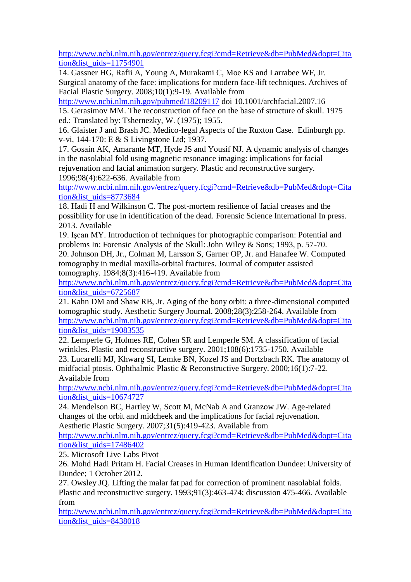[http://www.ncbi.nlm.nih.gov/entrez/query.fcgi?cmd=Retrieve&db=PubMed&dopt=Cita](http://www.ncbi.nlm.nih.gov/entrez/query.fcgi?cmd=Retrieve&db=PubMed&dopt=Citation&list_uids=11754901) [tion&list\\_uids=11754901](http://www.ncbi.nlm.nih.gov/entrez/query.fcgi?cmd=Retrieve&db=PubMed&dopt=Citation&list_uids=11754901)

14. Gassner HG, Rafii A, Young A, Murakami C, Moe KS and Larrabee WF, Jr. Surgical anatomy of the face: implications for modern face-lift techniques. Archives of Facial Plastic Surgery. 2008;10(1):9-19. Available from

<http://www.ncbi.nlm.nih.gov/pubmed/18209117> doi 10.1001/archfacial.2007.16

15. Gerasimov MM. The reconstruction of face on the base of structure of skull. 1975 ed.: Translated by: Tshernezky, W. (1975); 1955.

16. Glaister J and Brash JC. Medico-legal Aspects of the Ruxton Case. Edinburgh pp. v-vi, 144-170: E & S Livingstone Ltd; 1937.

17. Gosain AK, Amarante MT, Hyde JS and Yousif NJ. A dynamic analysis of changes in the nasolabial fold using magnetic resonance imaging: implications for facial rejuvenation and facial animation surgery. Plastic and reconstructive surgery. 1996;98(4):622-636. Available from

[http://www.ncbi.nlm.nih.gov/entrez/query.fcgi?cmd=Retrieve&db=PubMed&dopt=Cita](http://www.ncbi.nlm.nih.gov/entrez/query.fcgi?cmd=Retrieve&db=PubMed&dopt=Citation&list_uids=8773684) [tion&list\\_uids=8773684](http://www.ncbi.nlm.nih.gov/entrez/query.fcgi?cmd=Retrieve&db=PubMed&dopt=Citation&list_uids=8773684)

18. Hadi H and Wilkinson C. The post-mortem resilience of facial creases and the possibility for use in identification of the dead. Forensic Science International In press. 2013. Available

19. Işcan MY. Introduction of techniques for photographic comparison: Potential and problems In: Forensic Analysis of the Skull: John Wiley & Sons; 1993, p. 57-70. 20. Johnson DH, Jr., Colman M, Larsson S, Garner OP, Jr. and Hanafee W. Computed

tomography in medial maxilla-orbital fractures. Journal of computer assisted tomography. 1984;8(3):416-419. Available from

[http://www.ncbi.nlm.nih.gov/entrez/query.fcgi?cmd=Retrieve&db=PubMed&dopt=Cita](http://www.ncbi.nlm.nih.gov/entrez/query.fcgi?cmd=Retrieve&db=PubMed&dopt=Citation&list_uids=6725687) [tion&list\\_uids=6725687](http://www.ncbi.nlm.nih.gov/entrez/query.fcgi?cmd=Retrieve&db=PubMed&dopt=Citation&list_uids=6725687)

21. Kahn DM and Shaw RB, Jr. Aging of the bony orbit: a three-dimensional computed tomographic study. Aesthetic Surgery Journal. 2008;28(3):258-264. Available from [http://www.ncbi.nlm.nih.gov/entrez/query.fcgi?cmd=Retrieve&db=PubMed&dopt=Cita](http://www.ncbi.nlm.nih.gov/entrez/query.fcgi?cmd=Retrieve&db=PubMed&dopt=Citation&list_uids=19083535) [tion&list\\_uids=19083535](http://www.ncbi.nlm.nih.gov/entrez/query.fcgi?cmd=Retrieve&db=PubMed&dopt=Citation&list_uids=19083535)

22. Lemperle G, Holmes RE, Cohen SR and Lemperle SM. A classification of facial wrinkles. Plastic and reconstructive surgery. 2001;108(6):1735-1750. Available 23. Lucarelli MJ, Khwarg SI, Lemke BN, Kozel JS and Dortzbach RK. The anatomy of midfacial ptosis. Ophthalmic Plastic & Reconstructive Surgery. 2000;16(1):7-22. Available from

[http://www.ncbi.nlm.nih.gov/entrez/query.fcgi?cmd=Retrieve&db=PubMed&dopt=Cita](http://www.ncbi.nlm.nih.gov/entrez/query.fcgi?cmd=Retrieve&db=PubMed&dopt=Citation&list_uids=10674727) [tion&list\\_uids=10674727](http://www.ncbi.nlm.nih.gov/entrez/query.fcgi?cmd=Retrieve&db=PubMed&dopt=Citation&list_uids=10674727)

24. Mendelson BC, Hartley W, Scott M, McNab A and Granzow JW. Age-related changes of the orbit and midcheek and the implications for facial rejuvenation. Aesthetic Plastic Surgery. 2007;31(5):419-423. Available from

[http://www.ncbi.nlm.nih.gov/entrez/query.fcgi?cmd=Retrieve&db=PubMed&dopt=Cita](http://www.ncbi.nlm.nih.gov/entrez/query.fcgi?cmd=Retrieve&db=PubMed&dopt=Citation&list_uids=17486402) [tion&list\\_uids=17486402](http://www.ncbi.nlm.nih.gov/entrez/query.fcgi?cmd=Retrieve&db=PubMed&dopt=Citation&list_uids=17486402)

25. Microsoft Live Labs Pivot

26. Mohd Hadi Pritam H. Facial Creases in Human Identification Dundee: University of Dundee; 1 October 2012.

27. Owsley JQ. Lifting the malar fat pad for correction of prominent nasolabial folds. Plastic and reconstructive surgery. 1993;91(3):463-474; discussion 475-466. Available from

[http://www.ncbi.nlm.nih.gov/entrez/query.fcgi?cmd=Retrieve&db=PubMed&dopt=Cita](http://www.ncbi.nlm.nih.gov/entrez/query.fcgi?cmd=Retrieve&db=PubMed&dopt=Citation&list_uids=8438018) [tion&list\\_uids=8438018](http://www.ncbi.nlm.nih.gov/entrez/query.fcgi?cmd=Retrieve&db=PubMed&dopt=Citation&list_uids=8438018)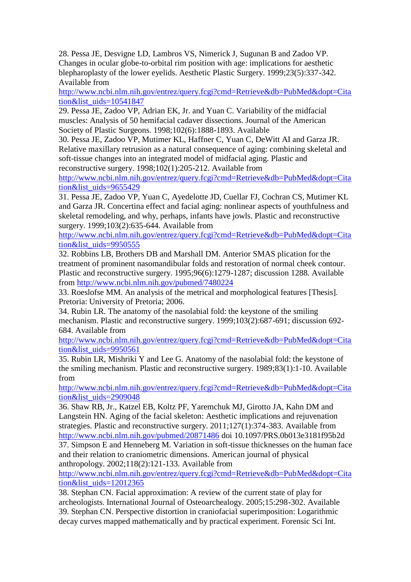28. Pessa JE, Desvigne LD, Lambros VS, Nimerick J, Sugunan B and Zadoo VP. Changes in ocular globe-to-orbital rim position with age: implications for aesthetic blepharoplasty of the lower eyelids. Aesthetic Plastic Surgery. 1999;23(5):337-342. Available from

[http://www.ncbi.nlm.nih.gov/entrez/query.fcgi?cmd=Retrieve&db=PubMed&dopt=Cita](http://www.ncbi.nlm.nih.gov/entrez/query.fcgi?cmd=Retrieve&db=PubMed&dopt=Citation&list_uids=10541847) [tion&list\\_uids=10541847](http://www.ncbi.nlm.nih.gov/entrez/query.fcgi?cmd=Retrieve&db=PubMed&dopt=Citation&list_uids=10541847)

29. Pessa JE, Zadoo VP, Adrian EK, Jr. and Yuan C. Variability of the midfacial muscles: Analysis of 50 hemifacial cadaver dissections. Journal of the American Society of Plastic Surgeons. 1998;102(6):1888-1893. Available

30. Pessa JE, Zadoo VP, Mutimer KL, Haffner C, Yuan C, DeWitt AI and Garza JR. Relative maxillary retrusion as a natural consequence of aging: combining skeletal and soft-tissue changes into an integrated model of midfacial aging. Plastic and reconstructive surgery. 1998;102(1):205-212. Available from

[http://www.ncbi.nlm.nih.gov/entrez/query.fcgi?cmd=Retrieve&db=PubMed&dopt=Cita](http://www.ncbi.nlm.nih.gov/entrez/query.fcgi?cmd=Retrieve&db=PubMed&dopt=Citation&list_uids=9655429) [tion&list\\_uids=9655429](http://www.ncbi.nlm.nih.gov/entrez/query.fcgi?cmd=Retrieve&db=PubMed&dopt=Citation&list_uids=9655429)

31. Pessa JE, Zadoo VP, Yuan C, Ayedelotte JD, Cuellar FJ, Cochran CS, Mutimer KL and Garza JR. Concertina effect and facial aging: nonlinear aspects of youthfulness and skeletal remodeling, and why, perhaps, infants have jowls. Plastic and reconstructive surgery. 1999;103(2):635-644. Available from

[http://www.ncbi.nlm.nih.gov/entrez/query.fcgi?cmd=Retrieve&db=PubMed&dopt=Cita](http://www.ncbi.nlm.nih.gov/entrez/query.fcgi?cmd=Retrieve&db=PubMed&dopt=Citation&list_uids=9950555) [tion&list\\_uids=9950555](http://www.ncbi.nlm.nih.gov/entrez/query.fcgi?cmd=Retrieve&db=PubMed&dopt=Citation&list_uids=9950555)

32. Robbins LB, Brothers DB and Marshall DM. Anterior SMAS plication for the treatment of prominent nasomandibular folds and restoration of normal cheek contour. Plastic and reconstructive surgery. 1995;96(6):1279-1287; discussion 1288. Available from<http://www.ncbi.nlm.nih.gov/pubmed/7480224>

33. Roeslofse MM. An analysis of the metrical and morphological features [Thesis]. Pretoria: University of Pretoria; 2006.

34. Rubin LR. The anatomy of the nasolabial fold: the keystone of the smiling mechanism. Plastic and reconstructive surgery. 1999;103(2):687-691; discussion 692- 684. Available from

[http://www.ncbi.nlm.nih.gov/entrez/query.fcgi?cmd=Retrieve&db=PubMed&dopt=Cita](http://www.ncbi.nlm.nih.gov/entrez/query.fcgi?cmd=Retrieve&db=PubMed&dopt=Citation&list_uids=9950561) [tion&list\\_uids=9950561](http://www.ncbi.nlm.nih.gov/entrez/query.fcgi?cmd=Retrieve&db=PubMed&dopt=Citation&list_uids=9950561)

35. Rubin LR, Mishriki Y and Lee G. Anatomy of the nasolabial fold: the keystone of the smiling mechanism. Plastic and reconstructive surgery. 1989;83(1):1-10. Available from

[http://www.ncbi.nlm.nih.gov/entrez/query.fcgi?cmd=Retrieve&db=PubMed&dopt=Cita](http://www.ncbi.nlm.nih.gov/entrez/query.fcgi?cmd=Retrieve&db=PubMed&dopt=Citation&list_uids=2909048) [tion&list\\_uids=2909048](http://www.ncbi.nlm.nih.gov/entrez/query.fcgi?cmd=Retrieve&db=PubMed&dopt=Citation&list_uids=2909048)

36. Shaw RB, Jr., Katzel EB, Koltz PF, Yaremchuk MJ, Girotto JA, Kahn DM and Langstein HN. Aging of the facial skeleton: Aesthetic implications and rejuvenation strategies. Plastic and reconstructive surgery. 2011;127(1):374-383. Available from <http://www.ncbi.nlm.nih.gov/pubmed/20871486> doi 10.1097/PRS.0b013e3181f95b2d 37. Simpson E and Henneberg M. Variation in soft-tissue thicknesses on the human face and their relation to craniometric dimensions. American journal of physical

anthropology. 2002;118(2):121-133. Available from

[http://www.ncbi.nlm.nih.gov/entrez/query.fcgi?cmd=Retrieve&db=PubMed&dopt=Cita](http://www.ncbi.nlm.nih.gov/entrez/query.fcgi?cmd=Retrieve&db=PubMed&dopt=Citation&list_uids=12012365) tion&list\_uids= $12012365$ 

38. Stephan CN. Facial approximation: A review of the current state of play for archeologists. International Journal of Osteoarchealogy. 2005;15:298-302. Available 39. Stephan CN. Perspective distortion in craniofacial superimposition: Logarithmic decay curves mapped mathematically and by practical experiment. Forensic Sci Int.